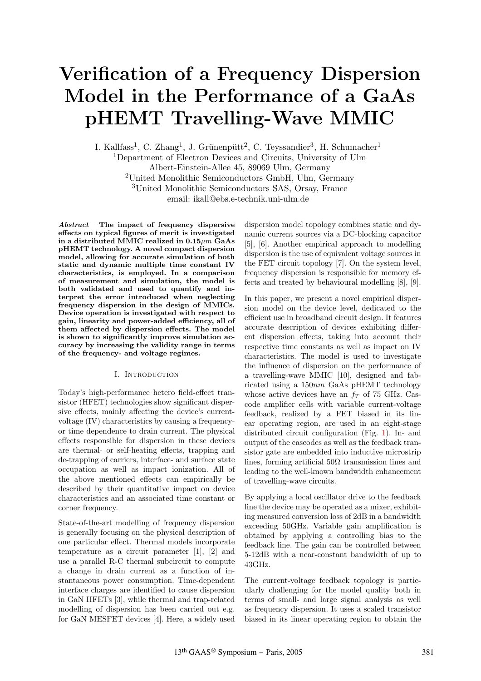# **Verification of a Frequency Dispersion Model in the Performance of a GaAs pHEMT Travelling-Wave MMIC**

I. Kallfass<sup>1</sup>, C. Zhang<sup>1</sup>, J. Grünenpütt<sup>2</sup>, C. Teyssandier<sup>3</sup>, H. Schumacher<sup>1</sup> <sup>1</sup>Department of Electron Devices and Circuits, University of Ulm Albert-Einstein-Allee 45, 89069 Ulm, Germany <sup>2</sup>United Monolithic Semiconductors GmbH, Ulm, Germany <sup>3</sup>United Monolithic Semiconductors SAS, Orsay, France email: ikall@ebs.e-technik.uni-ulm.de

**Abstract— The impact of frequency dispersive effects on typical figures of merit is investigated in a distributed MMIC realized in 0.15**µm **GaAs pHEMT technology. A novel compact dispersion model, allowing for accurate simulation of both static and dynamic multiple time constant IV characteristics, is employed. In a comparison of measurement and simulation, the model is both validated and used to quantify and interpret the error introduced when neglecting frequency dispersion in the design of MMICs. Device operation is investigated with respect to gain, linearity and power-added efficiency, all of them affected by dispersion effects. The model is shown to significantly improve simulation accuracy by increasing the validity range in terms of the frequency- and voltage regimes.**

# I. Introduction

Today's high-performance hetero field-effect transistor (HFET) technologies show significant dispersive effects, mainly affecting the device's currentvoltage (IV) characteristics by causing a frequencyor time dependence to drain current. The physical effects responsible for dispersion in these devices are thermal- or self-heating effects, trapping and de-trapping of carriers, interface- and surface state occupation as well as impact ionization. All of the above mentioned effects can empirically be described by their quantitative impact on device characteristics and an associated time constant or corner frequency.

State-of-the-art modelling of frequency dispersion is generally focusing on the physical description of one particular effect. Thermal models incorporate temperature as a circuit parameter [1], [2] and use a parallel R-C thermal subcircuit to compute a change in drain current as a function of instantaneous power consumption. Time-dependent interface charges are identified to cause dispersion in GaN HFETs [3], while thermal and trap-related modelling of dispersion has been carried out e.g. for GaN MESFET devices [4]. Here, a widely used

dispersion model topology combines static and dynamic current sources via a DC-blocking capacitor [5], [6]. Another empirical approach to modelling dispersion is the use of equivalent voltage sources in the FET circuit topology [7]. On the system level, frequency dispersion is responsible for memory effects and treated by behavioural modelling [8], [9].

In this paper, we present a novel empirical dispersion model on the device level, dedicated to the efficient use in broadband circuit design. It features accurate description of devices exhibiting different dispersion effects, taking into account their respective time constants as well as impact on IV characteristics. The model is used to investigate the influence of dispersion on the performance of a travelling-wave MMIC [10], designed and fabricated using a 150nm GaAs pHEMT technology whose active devices have an  $f<sub>T</sub>$  of 75 GHz. Cascode amplifier cells with variable current-voltage feedback, realized by a FET biased in its linear operating region, are used in an eight-stage distributed circuit configuration (Fig. 1). In- and output of the cascodes as well as the feedback transistor gate are embedded into inductive microstrip lines, forming artificial  $50\Omega$  transmission lines and leading to the well-known bandwidth enhancement of travelling-wave circuits.

By applying a local oscillator drive to the feedback line the device may be operated as a mixer, exhibiting measured conversion loss of 2dB in a bandwidth exceeding 50GHz. Variable gain amplification is obtained by applying a controlling bias to the feedback line. The gain can be controlled between 5-12dB with a near-constant bandwidth of up to 43GHz.

The current-voltage feedback topology is particularly challenging for the model quality both in terms of small- and large signal analysis as well as frequency dispersion. It uses a scaled transistor biased in its linear operating region to obtain the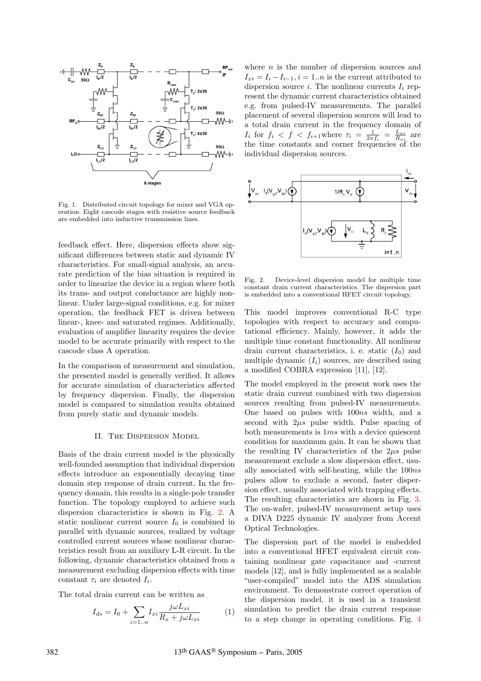

Fig. 1. Distributed circuit topology for mixer and VGA operation. Eight cascode stages with resistive source feedback are embedded into inductive transmission lines.

feedback effect. Here, dispersion effects show significant differences between static and dynamic IV characteristics. For small-signal analysis, an accurate prediction of the bias situation is required in order to linearize the device in a region where both its trans- and output conductance are highly nonlinear. Under large-signal conditions, e.g. for mixer operation, the feedback FET is driven between linear-, knee- and saturated regimes. Additionally, evaluation of amplifier linearity requires the device model to be accurate primarily with respect to the cascode class A operation.

In the comparison of measurement and simulation, the presented model is generally verified. It allows for accurate simulation of characteristics affected by frequency dispersion. Finally, the dispersion model is compared to simulation results obtained from purely static and dynamic models.

# II. The Dispersion Model

Basis of the drain current model is the physically well-founded assumption that individual dispersion effects introduce an exponentially decaying time domain step response of drain current. In the frequency domain, this results in a single-pole transfer function. The topology employed to achieve such dispersion characteristics is shown in Fig. 2. A static nonlinear current source  $I_0$  is combined in parallel with dynamic sources, realized by voltage controlled current sources whose nonlinear characteristics result from an auxiliary L-R circuit. In the following, dynamic characteristics obtained from a measurement excluding dispersion effects with time constant  $\tau_i$  are denoted  $I_i$ .

The total drain current can be written as

$$
I_{ds} = I_0 + \sum_{i=1..n} I_{xi} \frac{j\omega L_{xi}}{R_x + j\omega L_{xi}} \tag{1}
$$

where  $n$  is the number of dispersion sources and  $I_{xi} = I_i - I_{i-1}, i = 1..n$  is the current attributed to dispersion source i. The nonlinear currents  $I_i$  represent the dynamic current characteristics obtained e.g. from pulsed-IV measurements. The parallel placement of several dispersion sources will lead to a total drain current in the frequency domain of  $I_i$  for  $f_i < f < f_{i+1}$ where  $\tau_i = \frac{1}{2\pi f_i} = \frac{L_{xi}}{R_{xi}}$  are the time constants and corner frequencies of the individual dispersion sources.



Fig. 2. Device-level dispersion model for multiple time constant drain current characteristics. The dispersion part is embedded into a conventional HFET circuit topology.

This model improves conventional R-C type topologies with respect to accuracy and computational efficiency. Mainly, however, it adds the multiple time constant functionality. All nonlinear drain current characteristics, i. e. static  $(I_0)$  and multiple dynamic  $(I_i)$  sources, are described using a modified COBRA expression [11], [12].

The model employed in the present work uses the static drain current combined with two dispersion sources resulting from pulsed-IV measurements. One based on pulses with 100ns width, and a second with  $2\mu s$  pulse width. Pulse spacing of both measurements is 1ms with a device quiescent condition for maximum gain. It can be shown that the resulting IV characteristics of the  $2\mu s$  pulse measurement exclude a slow dispersion effect, usually associated with self-heating, while the 100ns pulses allow to exclude a second, faster dispersion effect, usually associated with trapping effects. The resulting characteristics are shown in Fig. 3. The on-wafer, pulsed-IV measurement setup uses a DIVA D225 dynamic IV analyzer from Accent Optical Technologies.

The dispersion part of the model is embedded into a conventional HFET equivalent circuit containing nonlinear gate capacitance and -current models [12], and is fully implemented as a scalable "user-compiled" model into the ADS simulation environment. To demonstrate correct operation of the dispersion model, it is used in a transient simulation to predict the drain current response to a step change in operating conditions. Fig. 4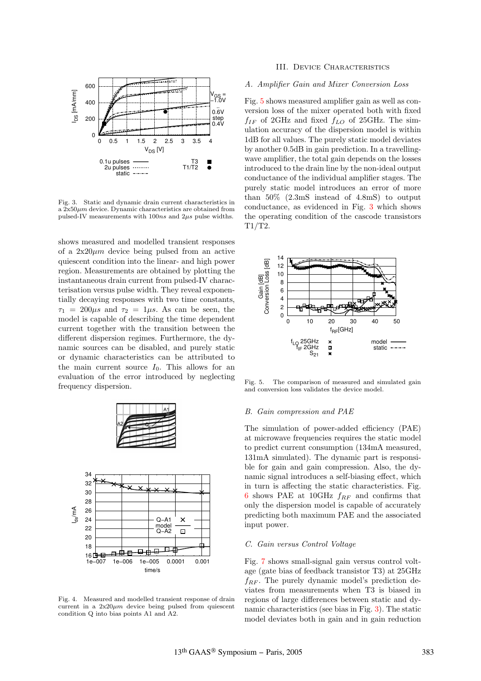

Fig. 3. Static and dynamic drain current characteristics in a  $2x50\mu m$  device. Dynamic characteristics are obtained from pulsed-IV measurements with  $100ns$  and  $2\mu s$  pulse widths.

shows measured and modelled transient responses of a  $2x20\mu m$  device being pulsed from an active quiescent condition into the linear- and high power region. Measurements are obtained by plotting the instantaneous drain current from pulsed-IV characterisation versus pulse width. They reveal exponentially decaying responses with two time constants,  $\tau_1 = 200 \mu s$  and  $\tau_2 = 1 \mu s$ . As can be seen, the model is capable of describing the time dependent current together with the transition between the different dispersion regimes. Furthermore, the dynamic sources can be disabled, and purely static or dynamic characteristics can be attributed to the main current source  $I_0$ . This allows for an evaluation of the error introduced by neglecting frequency dispersion.



Fig. 4. Measured and modelled transient response of drain current in a  $2x20\mu m$  device being pulsed from quiescent condition Q into bias points A1 and A2.

### III. Device Characteristics

# A. Amplifier Gain and Mixer Conversion Loss

Fig. 5 shows measured amplifier gain as well as conversion loss of the mixer operated both with fixed  $f_{IF}$  of 2GHz and fixed  $f_{LO}$  of 25GHz. The simulation accuracy of the dispersion model is within 1dB for all values. The purely static model deviates by another 0.5dB in gain prediction. In a travellingwave amplifier, the total gain depends on the losses introduced to the drain line by the non-ideal output conductance of the individual amplifier stages. The purely static model introduces an error of more than 50% (2.3mS instead of 4.8mS) to output conductance, as evidenced in Fig. 3 which shows the operating condition of the cascode transistors T1/T2.



Fig. 5. The comparison of measured and simulated gain and conversion loss validates the device model.

#### B. Gain compression and PAE

The simulation of power-added efficiency (PAE) at microwave frequencies requires the static model to predict current consumption (134mA measured, 131mA simulated). The dynamic part is responsible for gain and gain compression. Also, the dynamic signal introduces a self-biasing effect, which in turn is affecting the static characteristics. Fig. 6 shows PAE at 10GHz  $f_{RF}$  and confirms that only the dispersion model is capable of accurately predicting both maximum PAE and the associated input power.

### C. Gain versus Control Voltage

Fig. 7 shows small-signal gain versus control voltage (gate bias of feedback transistor T3) at 25GHz  $f_{RF}$ . The purely dynamic model's prediction deviates from measurements when T3 is biased in regions of large differences between static and dynamic characteristics (see bias in Fig. 3). The static model deviates both in gain and in gain reduction